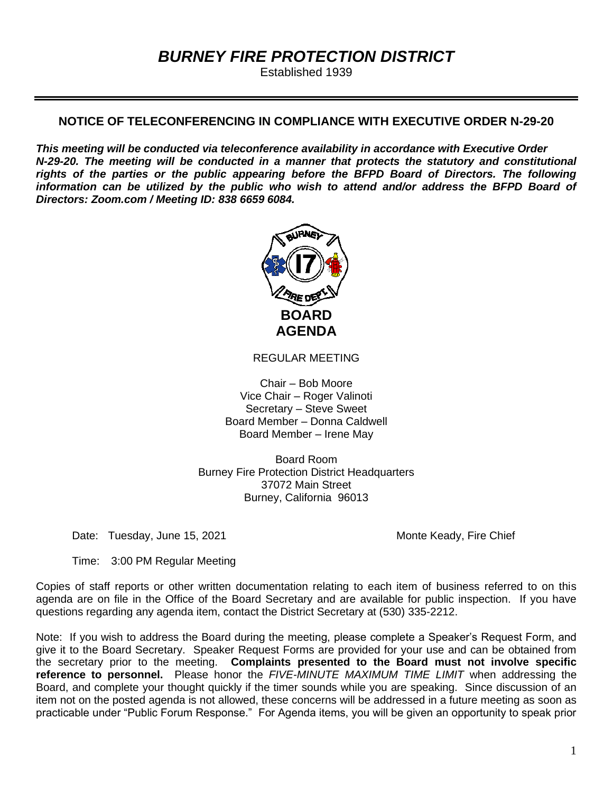# *BURNEY FIRE PROTECTION DISTRICT*

Established 1939

### **NOTICE OF TELECONFERENCING IN COMPLIANCE WITH EXECUTIVE ORDER N-29-20**

*This meeting will be conducted via teleconference availability in accordance with Executive Order N-29-20. The meeting will be conducted in a manner that protects the statutory and constitutional rights of the parties or the public appearing before the BFPD Board of Directors. The following information can be utilized by the public who wish to attend and/or address the BFPD Board of Directors: Zoom.com / Meeting ID: 838 6659 6084.*



REGULAR MEETING

Chair – Bob Moore Vice Chair – Roger Valinoti Secretary – Steve Sweet Board Member – Donna Caldwell Board Member – Irene May

Board Room Burney Fire Protection District Headquarters 37072 Main Street Burney, California 96013

Date: Tuesday, June 15, 2021 Monte Keady, Fire Chief

Time: 3:00 PM Regular Meeting

Copies of staff reports or other written documentation relating to each item of business referred to on this agenda are on file in the Office of the Board Secretary and are available for public inspection. If you have questions regarding any agenda item, contact the District Secretary at (530) 335-2212.

Note: If you wish to address the Board during the meeting, please complete a Speaker's Request Form, and give it to the Board Secretary. Speaker Request Forms are provided for your use and can be obtained from the secretary prior to the meeting. **Complaints presented to the Board must not involve specific reference to personnel.** Please honor the *FIVE-MINUTE MAXIMUM TIME LIMIT* when addressing the Board, and complete your thought quickly if the timer sounds while you are speaking. Since discussion of an item not on the posted agenda is not allowed, these concerns will be addressed in a future meeting as soon as practicable under "Public Forum Response." For Agenda items, you will be given an opportunity to speak prior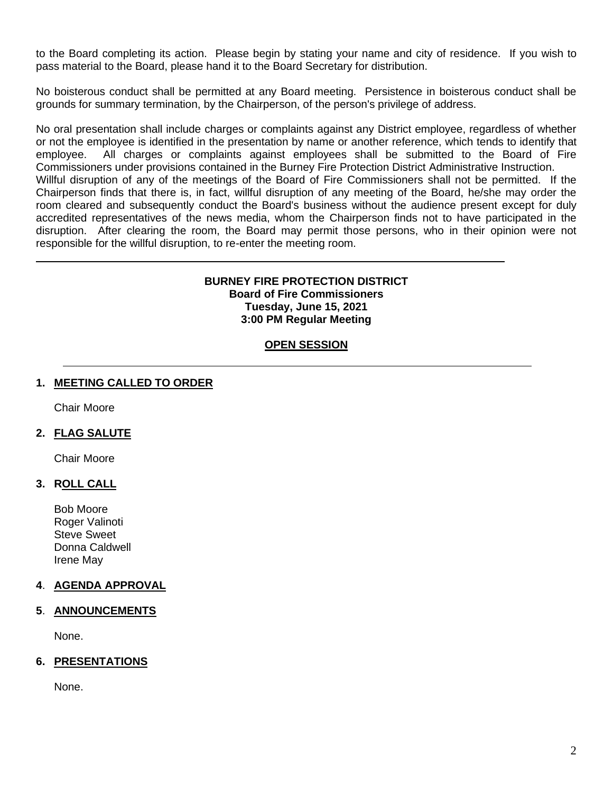to the Board completing its action. Please begin by stating your name and city of residence. If you wish to pass material to the Board, please hand it to the Board Secretary for distribution.

No boisterous conduct shall be permitted at any Board meeting. Persistence in boisterous conduct shall be grounds for summary termination, by the Chairperson, of the person's privilege of address.

No oral presentation shall include charges or complaints against any District employee, regardless of whether or not the employee is identified in the presentation by name or another reference, which tends to identify that employee. All charges or complaints against employees shall be submitted to the Board of Fire Commissioners under provisions contained in the Burney Fire Protection District Administrative Instruction.

Willful disruption of any of the meetings of the Board of Fire Commissioners shall not be permitted. If the Chairperson finds that there is, in fact, willful disruption of any meeting of the Board, he/she may order the room cleared and subsequently conduct the Board's business without the audience present except for duly accredited representatives of the news media, whom the Chairperson finds not to have participated in the disruption. After clearing the room, the Board may permit those persons, who in their opinion were not responsible for the willful disruption, to re-enter the meeting room.

### **BURNEY FIRE PROTECTION DISTRICT Board of Fire Commissioners Tuesday, June 15, 2021 3:00 PM Regular Meeting**

# **OPEN SESSION**

### **1. MEETING CALLED TO ORDER**

Chair Moore

## **2. FLAG SALUTE**

Chair Moore

### **3. ROLL CALL**

Bob Moore Roger Valinoti Steve Sweet Donna Caldwell Irene May

### **4**. **AGENDA APPROVAL**

### **5**. **ANNOUNCEMENTS**

None.

### **6. PRESENTATIONS**

None.